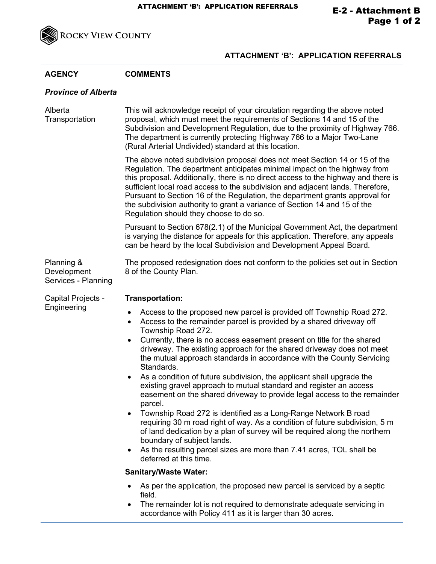

## **ATTACHMENT 'B': APPLICATION REFERRALS**

| <b>AGENCY</b>                                    | <b>COMMENTS</b>                                                                                                                                                                                                                                                                                                                                                                                                                                                                                                                                                                                                                                                                                                                                                                                                                                                                                                                                                         |
|--------------------------------------------------|-------------------------------------------------------------------------------------------------------------------------------------------------------------------------------------------------------------------------------------------------------------------------------------------------------------------------------------------------------------------------------------------------------------------------------------------------------------------------------------------------------------------------------------------------------------------------------------------------------------------------------------------------------------------------------------------------------------------------------------------------------------------------------------------------------------------------------------------------------------------------------------------------------------------------------------------------------------------------|
| <b>Province of Alberta</b>                       |                                                                                                                                                                                                                                                                                                                                                                                                                                                                                                                                                                                                                                                                                                                                                                                                                                                                                                                                                                         |
| Alberta<br>Transportation                        | This will acknowledge receipt of your circulation regarding the above noted<br>proposal, which must meet the requirements of Sections 14 and 15 of the<br>Subdivision and Development Regulation, due to the proximity of Highway 766.<br>The department is currently protecting Highway 766 to a Major Two-Lane<br>(Rural Arterial Undivided) standard at this location.                                                                                                                                                                                                                                                                                                                                                                                                                                                                                                                                                                                               |
|                                                  | The above noted subdivision proposal does not meet Section 14 or 15 of the<br>Regulation. The department anticipates minimal impact on the highway from<br>this proposal. Additionally, there is no direct access to the highway and there is<br>sufficient local road access to the subdivision and adjacent lands. Therefore,<br>Pursuant to Section 16 of the Regulation, the department grants approval for<br>the subdivision authority to grant a variance of Section 14 and 15 of the<br>Regulation should they choose to do so.                                                                                                                                                                                                                                                                                                                                                                                                                                 |
|                                                  | Pursuant to Section 678(2.1) of the Municipal Government Act, the department<br>is varying the distance for appeals for this application. Therefore, any appeals<br>can be heard by the local Subdivision and Development Appeal Board.                                                                                                                                                                                                                                                                                                                                                                                                                                                                                                                                                                                                                                                                                                                                 |
| Planning &<br>Development<br>Services - Planning | The proposed redesignation does not conform to the policies set out in Section<br>8 of the County Plan.                                                                                                                                                                                                                                                                                                                                                                                                                                                                                                                                                                                                                                                                                                                                                                                                                                                                 |
| Capital Projects -<br>Engineering                | <b>Transportation:</b>                                                                                                                                                                                                                                                                                                                                                                                                                                                                                                                                                                                                                                                                                                                                                                                                                                                                                                                                                  |
|                                                  | Access to the proposed new parcel is provided off Township Road 272.<br>$\bullet$<br>Access to the remainder parcel is provided by a shared driveway off<br>$\bullet$<br>Township Road 272.<br>Currently, there is no access easement present on title for the shared<br>$\bullet$<br>driveway. The existing approach for the shared driveway does not meet<br>the mutual approach standards in accordance with the County Servicing<br>Standards.<br>As a condition of future subdivision, the applicant shall upgrade the<br>٠<br>existing gravel approach to mutual standard and register an access<br>easement on the shared driveway to provide legal access to the remainder<br>parcel.<br>Township Road 272 is identified as a Long-Range Network B road<br>$\bullet$<br>requiring 30 m road right of way. As a condition of future subdivision, 5 m<br>of land dedication by a plan of survey will be required along the northern<br>boundary of subject lands. |
|                                                  | As the resulting parcel sizes are more than 7.41 acres, TOL shall be<br>$\bullet$<br>deferred at this time.                                                                                                                                                                                                                                                                                                                                                                                                                                                                                                                                                                                                                                                                                                                                                                                                                                                             |
|                                                  | <b>Sanitary/Waste Water:</b>                                                                                                                                                                                                                                                                                                                                                                                                                                                                                                                                                                                                                                                                                                                                                                                                                                                                                                                                            |
|                                                  | As per the application, the proposed new parcel is serviced by a septic<br>$\bullet$<br>field.<br>The remainder lot is not required to demonstrate adequate servicing in<br>$\bullet$<br>accordance with Policy 411 as it is larger than 30 acres.                                                                                                                                                                                                                                                                                                                                                                                                                                                                                                                                                                                                                                                                                                                      |